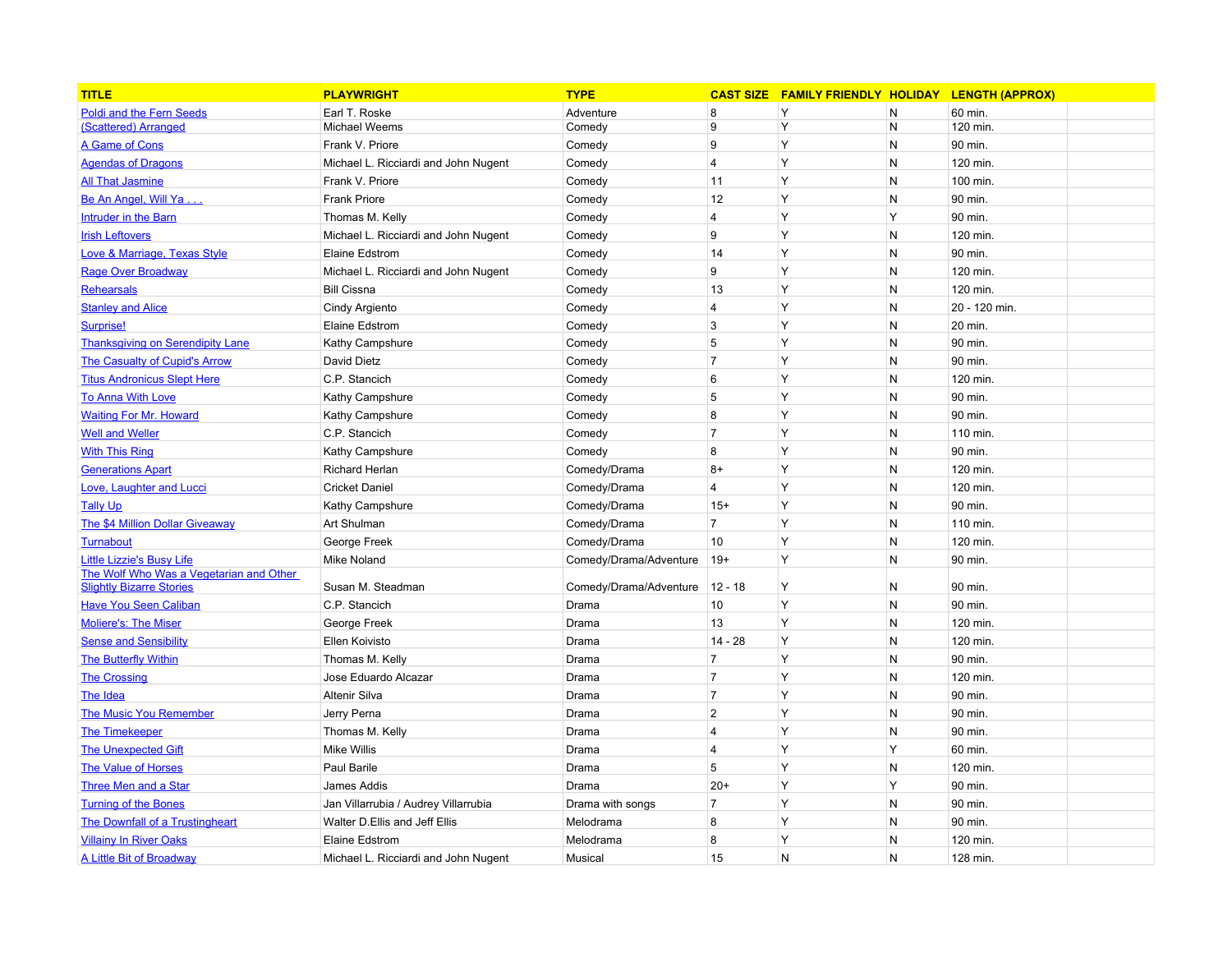| <b>TITLE</b>                                                               | <b>PLAYWRIGHT</b>                    | <b>TYPE</b>            |                | CAST SIZE FAMILY FRIENDLY HOLIDAY |              | <b>LENGTH (APPROX)</b> |  |
|----------------------------------------------------------------------------|--------------------------------------|------------------------|----------------|-----------------------------------|--------------|------------------------|--|
| <b>Poldi and the Fern Seeds</b>                                            | Earl T. Roske                        | Adventure              | 8              | Y                                 | $\mathsf{N}$ | 60 min.                |  |
| (Scattered) Arranged                                                       | Michael Weems                        | Comedy                 | 9              | Y                                 | N            | 120 min.               |  |
| A Game of Cons                                                             | Frank V. Priore                      | Comedy                 | 9              | Y                                 | N            | 90 min.                |  |
| <b>Agendas of Dragons</b>                                                  | Michael L. Ricciardi and John Nugent | Comedy                 | $\overline{4}$ | Y                                 | N            | 120 min.               |  |
| <b>All That Jasmine</b>                                                    | Frank V. Priore                      | Comedy                 | 11             | Y                                 | N            | 100 min.               |  |
| Be An Angel, Will Ya                                                       | <b>Frank Priore</b>                  | Comedy                 | 12             | Y                                 | $\mathsf{N}$ | 90 min.                |  |
| Intruder in the Barn                                                       | Thomas M. Kelly                      | Comedy                 | 4              | Y                                 | Y            | 90 min.                |  |
| <b>Irish Leftovers</b>                                                     | Michael L. Ricciardi and John Nugent | Comedy                 | 9              | Y                                 | N            | 120 min.               |  |
| Love & Marriage, Texas Style                                               | Elaine Edstrom                       | Comedy                 | 14             | Y                                 | $\mathsf{N}$ | 90 min.                |  |
| <b>Rage Over Broadway</b>                                                  | Michael L. Ricciardi and John Nugent | Comedy                 | 9              | Y                                 | $\mathsf{N}$ | 120 min.               |  |
| Rehearsals                                                                 | <b>Bill Cissna</b>                   | Comedy                 | 13             | Y                                 | N            | 120 min.               |  |
| <b>Stanley and Alice</b>                                                   | Cindy Argiento                       | Comedy                 | $\overline{4}$ | Y                                 | N            | 20 - 120 min.          |  |
| Surprise!                                                                  | Elaine Edstrom                       | Comedy                 | 3              | Y                                 | $\mathsf{N}$ | 20 min.                |  |
| <b>Thanksgiving on Serendipity Lane</b>                                    | Kathy Campshure                      | Comedy                 | 5              | Y                                 | $\mathsf{N}$ | 90 min.                |  |
| The Casualty of Cupid's Arrow                                              | David Dietz                          | Comedy                 | $\overline{7}$ | Y                                 | N            | 90 min.                |  |
| <b>Titus Andronicus Slept Here</b>                                         | C.P. Stancich                        | Comedy                 | 6              | Y                                 | $\mathsf{N}$ | 120 min.               |  |
| <b>To Anna With Love</b>                                                   | Kathy Campshure                      | Comedy                 | 5              | Y                                 | $\mathsf{N}$ | 90 min.                |  |
| <b>Waiting For Mr. Howard</b>                                              | Kathy Campshure                      | Comedy                 | 8              | Y                                 | N            | 90 min.                |  |
| <b>Well and Weller</b>                                                     | C.P. Stancich                        | Comedy                 | $\overline{7}$ | Y                                 | N            | 110 min.               |  |
| <b>With This Ring</b>                                                      | Kathy Campshure                      | Comedy                 | 8              | Y                                 | $\mathsf{N}$ | 90 min.                |  |
| <b>Generations Apart</b>                                                   | Richard Herlan                       | Comedy/Drama           | $8+$           | Y                                 | $\mathsf{N}$ | 120 min.               |  |
| Love, Laughter and Lucci                                                   | <b>Cricket Daniel</b>                | Comedy/Drama           | 4              | Y                                 | N            | 120 min.               |  |
| <b>Tally Up</b>                                                            | Kathy Campshure                      | Comedy/Drama           | $15+$          | Y                                 | $\mathsf{N}$ | 90 min.                |  |
| The \$4 Million Dollar Giveaway                                            | Art Shulman                          | Comedy/Drama           | $\overline{7}$ | Y                                 | $\mathsf{N}$ | 110 min.               |  |
| <b>Turnabout</b>                                                           | George Freek                         | Comedy/Drama           | 10             | Y                                 | N            | 120 min.               |  |
| <b>Little Lizzie's Busy Life</b>                                           | <b>Mike Noland</b>                   | Comedy/Drama/Adventure | $ 19+$         | Y                                 | $\mathsf{N}$ | 90 min.                |  |
| The Wolf Who Was a Vegetarian and Other<br><b>Slightly Bizarre Stories</b> | Susan M. Steadman                    | Comedy/Drama/Adventure | $12 - 18$      | Y                                 | N            | 90 min.                |  |
| <b>Have You Seen Caliban</b>                                               | C.P. Stancich                        | Drama                  | 10             | Y                                 | $\mathsf{N}$ | 90 min.                |  |
| <b>Moliere's: The Miser</b>                                                | George Freek                         | Drama                  | 13             | Y                                 | N            | 120 min.               |  |
| <b>Sense and Sensibility</b>                                               | Ellen Koivisto                       | Drama                  | $14 - 28$      | Y                                 | N            | 120 min.               |  |
| <b>The Butterfly Within</b>                                                | Thomas M. Kelly                      | Drama                  | $\overline{7}$ | Y                                 | $\mathsf{N}$ | 90 min.                |  |
| <b>The Crossing</b>                                                        | Jose Eduardo Alcazar                 | Drama                  | $\overline{7}$ | Y                                 | $\mathsf{N}$ | 120 min.               |  |
| The Idea                                                                   | <b>Altenir Silva</b>                 | Drama                  | $\overline{7}$ | Y                                 | N            | 90 min.                |  |
| <b>The Music You Remember</b>                                              | Jerry Perna                          | Drama                  | $\overline{2}$ | Y                                 | $\mathsf{N}$ | 90 min.                |  |
| <b>The Timekeeper</b>                                                      | Thomas M. Kelly                      | Drama                  | $\overline{4}$ | Y                                 | $\mathsf{N}$ | 90 min.                |  |
| <b>The Unexpected Gift</b>                                                 | <b>Mike Willis</b>                   | Drama                  | $\overline{4}$ | Y                                 | Y            | 60 min.                |  |
| <b>The Value of Horses</b>                                                 | Paul Barile                          | Drama                  | 5              | Y                                 | N            | 120 min.               |  |
| <b>Three Men and a Star</b>                                                | James Addis                          | Drama                  | $20+$          | Y                                 | Y            | 90 min.                |  |
| <b>Turning of the Bones</b>                                                | Jan Villarrubia / Audrey Villarrubia | Drama with songs       | $\overline{7}$ | Y                                 | $\mathsf{N}$ | 90 min.                |  |
| The Downfall of a Trustingheart                                            | Walter D. Ellis and Jeff Ellis       | Melodrama              | 8              | Y                                 | N            | 90 min.                |  |
| <b>Villainy In River Oaks</b>                                              | Elaine Edstrom                       | Melodrama              | 8              | Y                                 | N            | 120 min.               |  |
|                                                                            | Michael L. Ricciardi and John Nugent | Musical                | 15             | N                                 | N            | 128 min.               |  |
| A Little Bit of Broadway                                                   |                                      |                        |                |                                   |              |                        |  |